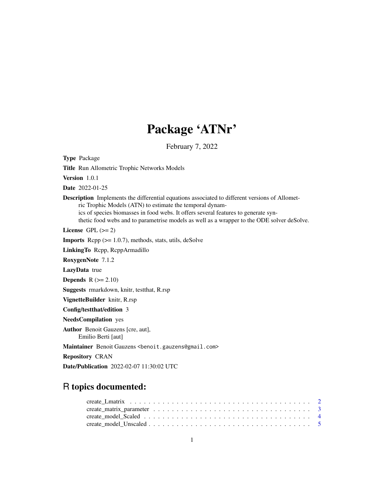## Package 'ATNr'

February 7, 2022

Type Package

Title Run Allometric Trophic Networks Models

Version 1.0.1

Date 2022-01-25

Description Implements the differential equations associated to different versions of Allometric Trophic Models (ATN) to estimate the temporal dynamics of species biomasses in food webs. It offers several features to generate synthetic food webs and to parametrise models as well as a wrapper to the ODE solver deSolve.

License GPL  $(>= 2)$ 

**Imports** Rcpp  $(>= 1.0.7)$ , methods, stats, utils, deSolve

LinkingTo Rcpp, RcppArmadillo

RoxygenNote 7.1.2

LazyData true

**Depends**  $R$  ( $>= 2.10$ )

Suggests rmarkdown, knitr, testthat, R.rsp

VignetteBuilder knitr, R.rsp

Config/testthat/edition 3

NeedsCompilation yes

Author Benoit Gauzens [cre, aut], Emilio Berti [aut]

Maintainer Benoit Gauzens <benoit.gauzens@gmail.com>

Repository CRAN

Date/Publication 2022-02-07 11:30:02 UTC

### R topics documented: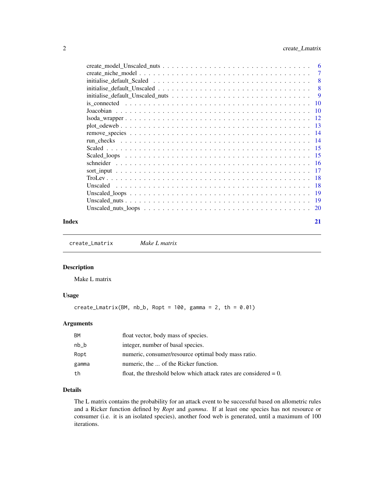<span id="page-1-0"></span>

| 6         |
|-----------|
| 7         |
| 8         |
| 8         |
| 9         |
| 10        |
| <b>10</b> |
| -12       |
| - 13      |
|           |
| - 14      |
| -15       |
| - 15      |
|           |
| - 17      |
| - 18      |
| -18       |
| -19       |
| 19        |
| 20        |
|           |

#### **Index** [21](#page-20-0)

<span id="page-1-1"></span>create\_Lmatrix *Make L matrix*

#### Description

Make L matrix

#### Usage

create\_Lmatrix(BM, nb\_b, Ropt =  $100$ , gamma = 2, th =  $0.01$ )

#### Arguments

| <b>BM</b> | float vector, body mass of species.                                  |
|-----------|----------------------------------------------------------------------|
| nb b      | integer, number of basal species.                                    |
| Ropt      | numeric, consumer/resource optimal body mass ratio.                  |
| gamma     | numeric, the  of the Ricker function.                                |
| th        | float, the threshold below which attack rates are considered $= 0$ . |

### Details

The L matrix contains the probability for an attack event to be successful based on allometric rules and a Ricker function defined by *Ropt* and *gamma*. If at least one species has not resource or consumer (i.e. it is an isolated species), another food web is generated, until a maximum of 100 iterations.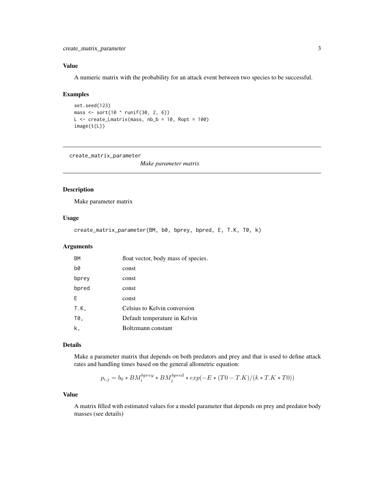#### <span id="page-2-0"></span>Value

A numeric matrix with the probability for an attack event between two species to be successful.

#### Examples

```
set.seed(123)
mass <- sort(10 ^ runif(30, 2, 6))
L <- create_Lmatrix(mass, nb_b = 10, Ropt = 100)
image(t(L))
```
create\_matrix\_parameter

*Make parameter matrix*

### Description

Make parameter matrix

#### Usage

```
create_matrix_parameter(BM, b0, bprey, bpred, E, T.K, T0, k)
```
#### Arguments

| <b>BM</b> | float vector, body mass of species. |
|-----------|-------------------------------------|
| b0        | const                               |
| bprey     | const                               |
| bpred     | const                               |
| F         | const                               |
| T.K,      | Celsius to Kelvin conversion        |
| T0,       | Default temperature in Kelvin       |
| k,        | Boltzmann constant                  |

#### Details

Make a parameter matrix that depends on both predators and prey and that is used to define attack rates and handling times based on the general allometric equation:

$$
p_{i,j} = b_0 * BM_i^{bprey} * BM_j^{bpred} * exp(-E * (T0 - T.K)/(k * T.K * T0))
$$

#### Value

A matrix filled with estimated values for a model parameter that depends on prey and predator body masses (see details)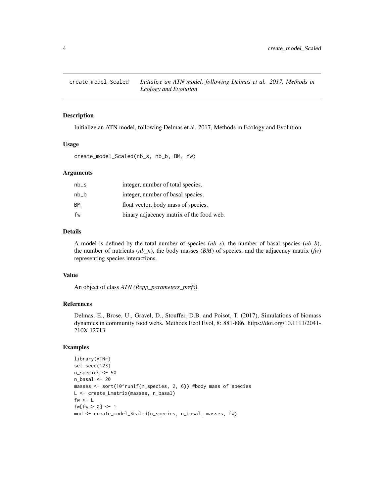<span id="page-3-0"></span>

Initialize an ATN model, following Delmas et al. 2017, Methods in Ecology and Evolution

#### Usage

create\_model\_Scaled(nb\_s, nb\_b, BM, fw)

#### **Arguments**

| nb s | integer, number of total species.        |
|------|------------------------------------------|
| nb b | integer, number of basal species.        |
| BМ   | float vector, body mass of species.      |
| fw   | binary adjacency matrix of the food web. |
|      |                                          |

#### Details

A model is defined by the total number of species (*nb\_s*), the number of basal species (*nb\_b*), the number of nutrients  $(nb_n)$ , the body masses  $(BM)$  of species, and the adjacency matrix  $(f_w)$ representing species interactions.

#### Value

An object of class *ATN (Rcpp\_parameters\_prefs)*.

#### References

Delmas, E., Brose, U., Gravel, D., Stouffer, D.B. and Poisot, T. (2017), Simulations of biomass dynamics in community food webs. Methods Ecol Evol, 8: 881-886. https://doi.org/10.1111/2041- 210X.12713

```
library(ATNr)
set.seed(123)
n_species <- 50
n_basal <- 20
masses <- sort(10^runif(n_species, 2, 6)) #body mass of species
L <- create_Lmatrix(masses, n_basal)
fw \leftarrow Lfw[fu > 0] < -1mod <- create_model_Scaled(n_species, n_basal, masses, fw)
```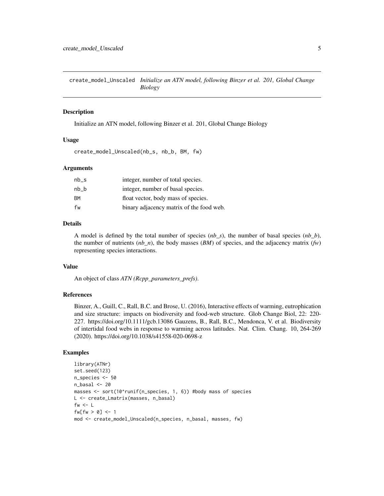<span id="page-4-0"></span>create\_model\_Unscaled *Initialize an ATN model, following Binzer et al. 201, Global Change Biology*

#### **Description**

Initialize an ATN model, following Binzer et al. 201, Global Change Biology

#### Usage

```
create_model_Unscaled(nb_s, nb_b, BM, fw)
```
#### Arguments

| $nb_s$ | integer, number of total species.        |
|--------|------------------------------------------|
| $nb_b$ | integer, number of basal species.        |
| ΒM     | float vector, body mass of species.      |
| fw     | binary adjacency matrix of the food web. |

#### Details

A model is defined by the total number of species (*nb\_s*), the number of basal species (*nb\_b*), the number of nutrients  $(nb_n)$ , the body masses  $(BM)$  of species, and the adjacency matrix  $(fw)$ representing species interactions.

#### Value

An object of class *ATN (Rcpp\_parameters\_prefs)*.

#### References

Binzer, A., Guill, C., Rall, B.C. and Brose, U. (2016), Interactive effects of warming, eutrophication and size structure: impacts on biodiversity and food-web structure. Glob Change Biol, 22: 220- 227. https://doi.org/10.1111/gcb.13086 Gauzens, B., Rall, B.C., Mendonca, V. et al. Biodiversity of intertidal food webs in response to warming across latitudes. Nat. Clim. Chang. 10, 264-269 (2020). https://doi.org/10.1038/s41558-020-0698-z

```
library(ATNr)
set.seed(123)
n_species <- 50
n_basal <- 20
masses <- sort(10^runif(n_species, 1, 6)) #body mass of species
L <- create_Lmatrix(masses, n_basal)
fw \leftarrow Lf w[fw > 0] <- 1
mod <- create_model_Unscaled(n_species, n_basal, masses, fw)
```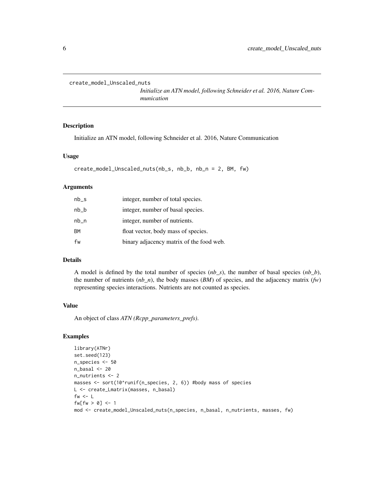```
create_model_Unscaled_nuts
```
*Initialize an ATN model, following Schneider et al. 2016, Nature Communication*

#### Description

Initialize an ATN model, following Schneider et al. 2016, Nature Communication

#### Usage

```
create_model_Unscaled_nuts(nb_s, nb_b, nb_n = 2, BM, fw)
```
#### Arguments

| $nb_s$    | integer, number of total species.        |
|-----------|------------------------------------------|
| $nb_b$    | integer, number of basal species.        |
| $nb_n$    | integer, number of nutrients.            |
| <b>BM</b> | float vector, body mass of species.      |
| fw        | binary adjacency matrix of the food web. |

#### Details

A model is defined by the total number of species (*nb\_s*), the number of basal species (*nb\_b*), the number of nutrients  $(nb_n)$ , the body masses  $(BM)$  of species, and the adjacency matrix  $(fw)$ representing species interactions. Nutrients are not counted as species.

#### Value

An object of class *ATN (Rcpp\_parameters\_prefs)*.

```
library(ATNr)
set.seed(123)
n_species <- 50
n_basal \leq 20
n_nutrients <- 2
masses <- sort(10^runif(n_species, 2, 6)) #body mass of species
L <- create_Lmatrix(masses, n_basal)
fw <- Lfw[fu > 0] \leq -1mod <- create_model_Unscaled_nuts(n_species, n_basal, n_nutrients, masses, fw)
```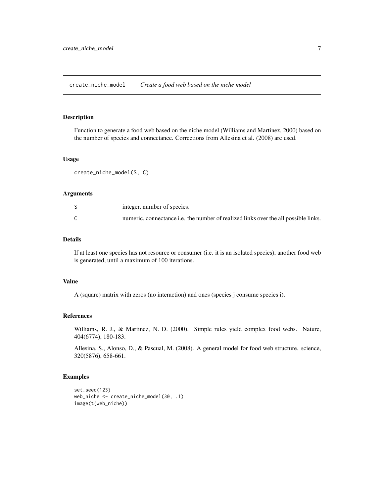<span id="page-6-0"></span>create\_niche\_model *Create a food web based on the niche model*

#### Description

Function to generate a food web based on the niche model (Williams and Martinez, 2000) based on the number of species and connectance. Corrections from Allesina et al. (2008) are used.

#### Usage

create\_niche\_model(S, C)

#### Arguments

|                          | integer, number of species.                                                         |
|--------------------------|-------------------------------------------------------------------------------------|
| $\overline{\phantom{0}}$ | numeric, connectance i.e. the number of realized links over the all possible links. |

#### Details

If at least one species has not resource or consumer (i.e. it is an isolated species), another food web is generated, until a maximum of 100 iterations.

#### Value

A (square) matrix with zeros (no interaction) and ones (species j consume species i).

#### References

Williams, R. J., & Martinez, N. D. (2000). Simple rules yield complex food webs. Nature, 404(6774), 180-183.

Allesina, S., Alonso, D., & Pascual, M. (2008). A general model for food web structure. science, 320(5876), 658-661.

```
set.seed(123)
web_niche <- create_niche_model(30, .1)
image(t(web_niche))
```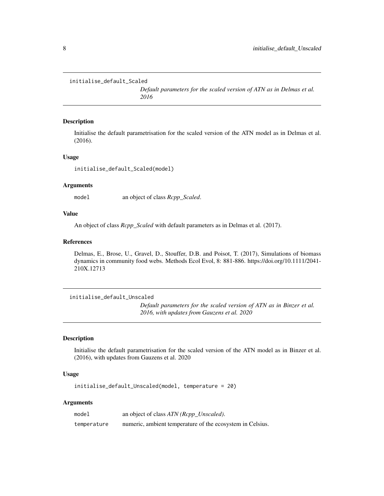```
initialise_default_Scaled
```
*Default parameters for the scaled version of ATN as in Delmas et al. 2016*

#### Description

Initialise the default parametrisation for the scaled version of the ATN model as in Delmas et al. (2016).

#### Usage

initialise\_default\_Scaled(model)

#### Arguments

model an object of class *Rcpp\_Scaled*.

#### Value

An object of class *Rcpp\_Scaled* with default parameters as in Delmas et al. (2017).

#### References

Delmas, E., Brose, U., Gravel, D., Stouffer, D.B. and Poisot, T. (2017), Simulations of biomass dynamics in community food webs. Methods Ecol Evol, 8: 881-886. https://doi.org/10.1111/2041- 210X.12713

initialise\_default\_Unscaled

*Default parameters for the scaled version of ATN as in Binzer et al. 2016, with updates from Gauzens et al. 2020*

#### Description

Initialise the default parametrisation for the scaled version of the ATN model as in Binzer et al. (2016), with updates from Gauzens et al. 2020

#### Usage

initialise\_default\_Unscaled(model, temperature = 20)

#### Arguments

| model       | an object of class ATN (Rcpp_Unscaled).                   |
|-------------|-----------------------------------------------------------|
| temperature | numeric, ambient temperature of the ecosystem in Celsius. |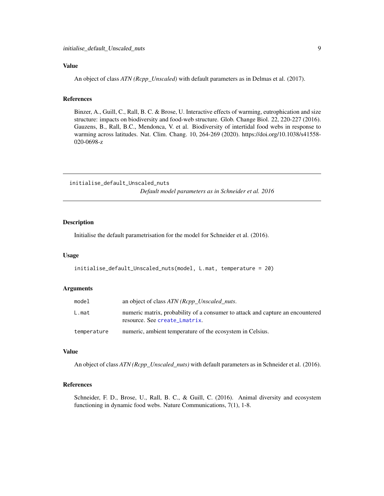#### <span id="page-8-0"></span>Value

An object of class *ATN (Rcpp\_Unscaled)* with default parameters as in Delmas et al. (2017).

#### References

Binzer, A., Guill, C., Rall, B. C. & Brose, U. Interactive effects of warming, eutrophication and size structure: impacts on biodiversity and food-web structure. Glob. Change Biol. 22, 220-227 (2016). Gauzens, B., Rall, B.C., Mendonca, V. et al. Biodiversity of intertidal food webs in response to warming across latitudes. Nat. Clim. Chang. 10, 264-269 (2020). https://doi.org/10.1038/s41558- 020-0698-z

initialise\_default\_Unscaled\_nuts *Default model parameters as in Schneider et al. 2016*

#### Description

Initialise the default parametrisation for the model for Schneider et al. (2016).

#### Usage

initialise\_default\_Unscaled\_nuts(model, L.mat, temperature = 20)

#### **Arguments**

| model       | an object of class ATN (Rcpp_Unscaled_nuts.                                                                     |
|-------------|-----------------------------------------------------------------------------------------------------------------|
| L.mat       | numeric matrix, probability of a consumer to attack and capture an encountered<br>resource. See create_Lmatrix. |
| temperature | numeric, ambient temperature of the ecosystem in Celsius.                                                       |

#### Value

An object of class *ATN (Rcpp\_Unscaled\_nuts)* with default parameters as in Schneider et al. (2016).

#### References

Schneider, F. D., Brose, U., Rall, B. C., & Guill, C. (2016). Animal diversity and ecosystem functioning in dynamic food webs. Nature Communications, 7(1), 1-8.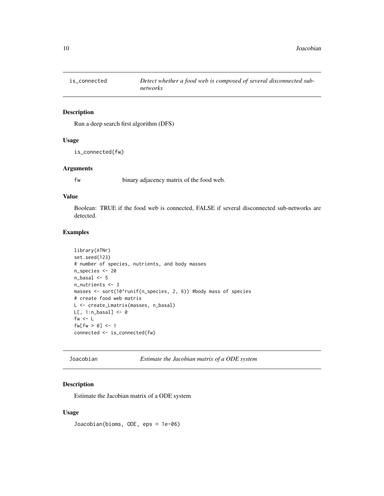<span id="page-9-0"></span>

Run a deep search first algorithm (DFS)

#### Usage

is\_connected(fw)

#### Arguments

fw binary adjacency matrix of the food web.

#### Value

Boolean: TRUE if the food web is connected, FALSE if several disconnected sub-networks are detected.

#### Examples

```
library(ATNr)
set.seed(123)
# number of species, nutrients, and body masses
n_species <- 20
n_basal \leq- 5
n_nutrients <- 3
masses <- sort(10^runif(n_species, 2, 6)) #body mass of species
# create food web matrix
L <- create_Lmatrix(masses, n_basal)
L[, 1:n_basal] <- 0
fw \leftarrow Lf(w[fw > 0] < -1connected <- is_connected(fw)
```

|  |  |  | Joacobian |  |
|--|--|--|-----------|--|
|  |  |  |           |  |
|  |  |  |           |  |
|  |  |  |           |  |

Estimate the Jacobian matrix of a ODE system

#### Description

Estimate the Jacobian matrix of a ODE system

#### Usage

Joacobian(bioms, ODE, eps = 1e-06)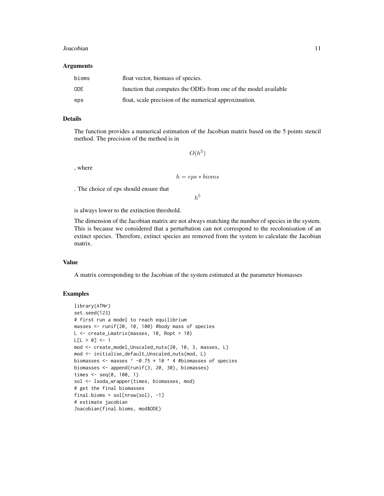#### Joacobian 11

#### Arguments

| bioms | float vector, biomass of species.                               |
|-------|-----------------------------------------------------------------|
| 0DE   | function that computes the ODEs from one of the model available |
| eps   | float, scale precision of the numerical approximation.          |

#### Details

The function provides a numerical estimation of the Jacobian matrix based on the 5 points stencil method. The precision of the method is in

 $O(h^5)$ 

, where

$$
h=eps\ast biomass
$$

. The choice of eps should ensure that

 $h^5$ 

is always lower to the extinction threshold.

The dimension of the Jacobian matrix are not always matching the number of species in the system. This is because we considered that a perturbation can not correspond to the recolonisation of an extinct species. Therefore, extinct species are removed from the system to calculate the Jacobian matrix.

#### Value

A matrix corresponding to the Jacobian of the system estimated at the parameter biomasses

```
library(ATNr)
set.seed(123)
# first run a model to reach equilibrium
masses <- runif(20, 10, 100) #body mass of species
L <- create_Lmatrix(masses, 10, Ropt = 10)
L[L > 0] <- 1
mod <- create_model_Unscaled_nuts(20, 10, 3, masses, L)
mod <- initialise_default_Unscaled_nuts(mod, L)
biomasses <- masses \land -0.75 \star 10 \land 4 #biomasses of species
biomasses <- append(runif(3, 20, 30), biomasses)
times <- seq(0, 100, 1)
sol <- lsoda_wrapper(times, biomasses, mod)
# get the final biomasses
final.bioms = sol[nrow(sol), -1]# estimate jacobian
Joacobian(final.bioms, mod$ODE)
```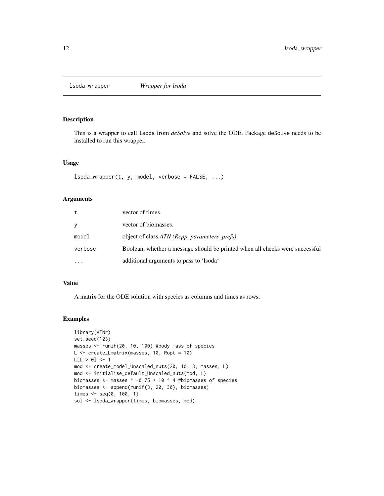<span id="page-11-0"></span>lsoda\_wrapper *Wrapper for lsoda*

#### Description

This is a wrapper to call lsoda from *deSolve* and solve the ODE. Package deSolve needs to be installed to run this wrapper.

#### Usage

 $lsoda_wrapper(t, y, model, verbose = FALSE, ...)$ 

#### Arguments

| t         | vector of times.                                                             |
|-----------|------------------------------------------------------------------------------|
| V         | vector of biomasses.                                                         |
| model     | object of class ATN (Rcpp_parameters_prefs).                                 |
| verbose   | Boolean, whether a message should be printed when all checks were successful |
| $\ddotsc$ | additional arguments to pass to 'lsoda'                                      |

#### Value

A matrix for the ODE solution with species as columns and times as rows.

```
library(ATNr)
set.seed(123)
masses <- runif(20, 10, 100) #body mass of species
L <- create_Lmatrix(masses, 10, Ropt = 10)
L[L > 0] <- 1
mod <- create_model_Unscaled_nuts(20, 10, 3, masses, L)
mod <- initialise_default_Unscaled_nuts(mod, L)
biomasses \leq masses \land -0.75 * 10 \land 4 #biomasses of species
biomasses <- append(runif(3, 20, 30), biomasses)
times <- seq(0, 100, 1)
sol <- lsoda_wrapper(times, biomasses, mod)
```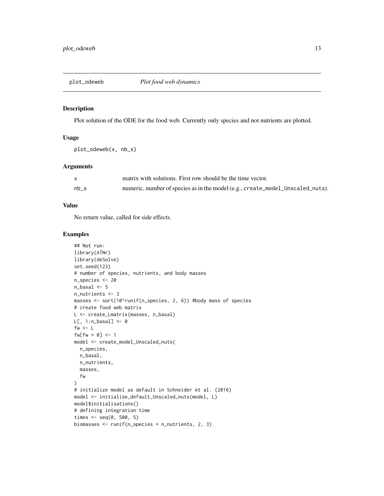<span id="page-12-0"></span>

Plot solution of the ODE for the food web. Currently only species and not nutrients are plotted.

#### Usage

```
plot_odeweb(x, nb_s)
```
#### Arguments

|      | matrix with solutions. First row should be the time vector.                    |
|------|--------------------------------------------------------------------------------|
| nb s | numeric, number of species as in the model (e.g., create_model_Unscaled_nuts). |

#### Value

No return value, called for side effects.

```
## Not run:
library(ATNr)
library(deSolve)
set.seed(123)
# number of species, nutrients, and body masses
n_species <- 20
n_basal \leq- 5
n_nutrients <- 3
masses <- sort(10^runif(n_species, 2, 6)) #body mass of species
# create food web matrix
L <- create_Lmatrix(masses, n_basal)
L[, 1:n_basal] <- 0
fw <- Lfw[fw > 0] \leftarrow 1model <- create_model_Unscaled_nuts(
  n_species,
 n_basal,
  n_nutrients,
  masses,
  fw
\mathcal{L}# initialize model as default in Schneider et al. (2016)
model <- initialise_default_Unscaled_nuts(model, L)
model$initialisations()
# defining integration time
times <- seq(0, 500, 5)
biomasses <- runif(n_species + n_nutrients, 2, 3)
```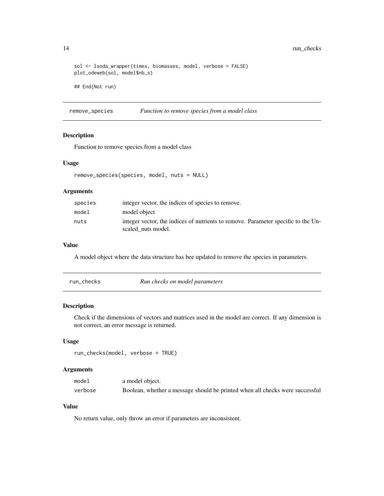```
sol <- lsoda_wrapper(times, biomasses, model, verbose = FALSE)
plot_odeweb(sol, model$nb_s)
## End(Not run)
```
remove\_species *Function to remove species from a model class*

#### Description

Function to remove species from a model class

#### Usage

```
remove_species(species, model, nuts = NULL)
```
#### Arguments

| species | integer vector, the indices of species to remove.                                                       |
|---------|---------------------------------------------------------------------------------------------------------|
| model   | model object                                                                                            |
| nuts    | integer vector, the indices of nutrients to remove. Parameter specific to the Un-<br>scaled nuts model. |

#### Value

A model object where the data structure has bee updated to remove the species in parameters.

| run checks | Run checks on model parameters |
|------------|--------------------------------|
|------------|--------------------------------|

#### Description

Check if the dimensions of vectors and matrices used in the model are correct. If any dimension is not correct, an error message is returned.

#### Usage

```
run_checks(model, verbose = TRUE)
```
#### Arguments

| model   | a model object.                                                              |
|---------|------------------------------------------------------------------------------|
| verbose | Boolean, whether a message should be printed when all checks were successful |

#### Value

No return value, only throw an error if parameters are inconsistent.

<span id="page-13-0"></span>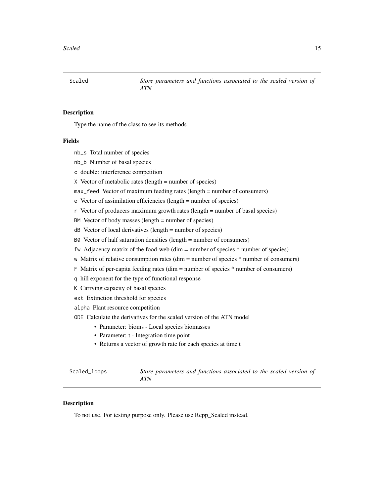<span id="page-14-0"></span>

Type the name of the class to see its methods

#### Fields

- nb\_s Total number of species
- nb\_b Number of basal species
- c double: interference competition
- X Vector of metabolic rates (length = number of species)
- max\_feed Vector of maximum feeding rates (length = number of consumers)
- e Vector of assimilation efficiencies (length = number of species)
- r Vector of producers maximum growth rates (length = number of basal species)
- BM Vector of body masses (length = number of species)
- dB Vector of local derivatives (length = number of species)
- B0 Vector of half saturation densities (length = number of consumers)
- fw Adjacency matrix of the food-web (dim = number of species \* number of species)
- w Matrix of relative consumption rates (dim = number of species \* number of consumers)
- F Matrix of per-capita feeding rates (dim = number of species \* number of consumers)
- q hill exponent for the type of functional response
- K Carrying capacity of basal species
- ext Extinction threshold for species
- alpha Plant resource competition
- ODE Calculate the derivatives for the scaled version of the ATN model
	- Parameter: bioms Local species biomasses
	- Parameter: t Integration time point
	- Returns a vector of growth rate for each species at time t

| Scaled_loops | Store parameters and functions associated to the scaled version of |  |  |  |
|--------------|--------------------------------------------------------------------|--|--|--|
|              | ATN                                                                |  |  |  |

#### Description

To not use. For testing purpose only. Please use Rcpp\_Scaled instead.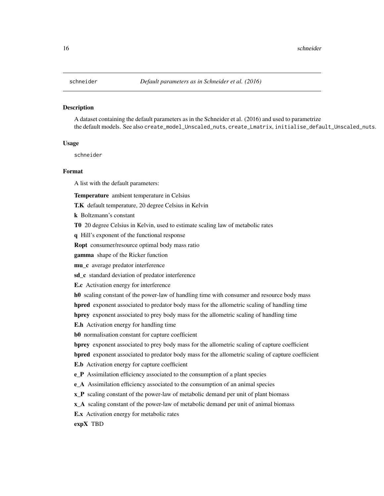<span id="page-15-0"></span>A dataset containing the default parameters as in the Schneider et al. (2016) and used to parametrize the default models. See also create\_model\_Unscaled\_nuts, create\_Lmatrix, initialise\_default\_Unscaled\_nuts.

#### Usage

schneider

#### Format

A list with the default parameters:

Temperature ambient temperature in Celsius

T.K default temperature, 20 degree Celsius in Kelvin

k Boltzmann's constant

T0 20 degree Celsius in Kelvin, used to estimate scaling law of metabolic rates

q Hill's exponent of the functional response

Ropt consumer/resource optimal body mass ratio

gamma shape of the Ricker function

mu\_c average predator interference

sd\_c standard deviation of predator interference

E.c Activation energy for interference

h0 scaling constant of the power-law of handling time with consumer and resource body mass

hpred exponent associated to predator body mass for the allometric scaling of handling time

hprey exponent associated to prey body mass for the allometric scaling of handling time

E.h Activation energy for handling time

b0 normalisation constant for capture coefficient

bprey exponent associated to prey body mass for the allometric scaling of capture coefficient

bpred exponent associated to predator body mass for the allometric scaling of capture coefficient

E.b Activation energy for capture coefficient

e\_P Assimilation efficiency associated to the consumption of a plant species

e\_A Assimilation efficiency associated to the consumption of an animal species

**x\_P** scaling constant of the power-law of metabolic demand per unit of plant biomass

x\_A scaling constant of the power-law of metabolic demand per unit of animal biomass

E.x Activation energy for metabolic rates

expX TBD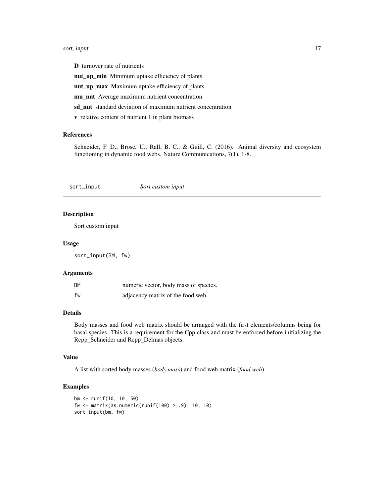#### <span id="page-16-0"></span>sort\_input 17

D turnover rate of nutrients

nut\_up\_min Minimum uptake efficiency of plants

nut\_up\_max Maximum uptake efficiency of plants

mu\_nut Average maximum nutrient concentration

sd\_nut standard deviation of maximum nutrient concentration

v relative content of nutrient 1 in plant biomass

#### References

Schneider, F. D., Brose, U., Rall, B. C., & Guill, C. (2016). Animal diversity and ecosystem functioning in dynamic food webs. Nature Communications, 7(1), 1-8.

sort\_input *Sort custom input*

#### Description

Sort custom input

#### Usage

sort\_input(BM, fw)

#### Arguments

| <b>BM</b> | numeric vector, body mass of species. |
|-----------|---------------------------------------|
| fw        | adjacency matrix of the food web.     |

#### Details

Body masses and food web matrix should be arranged with the first elements/columns being for basal species. This is a requirement for the Cpp class and must be enforced before initializing the Rcpp\_Schneider and Rcpp\_Delmas objects.

#### Value

A list with sorted body masses (*body.mass*) and food web matrix (*food.web*).

```
bm <- runif(10, 10, 50)
fw <- matrix(as.numeric(runif(100) > .9), 10, 10)
sort_input(bm, fw)
```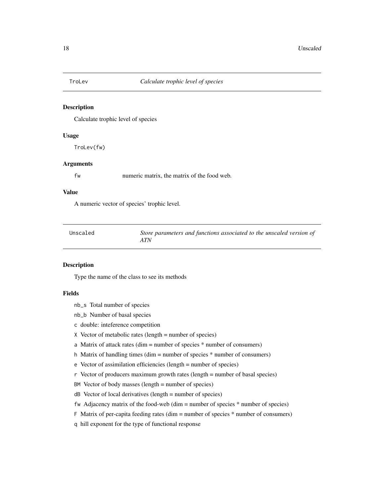<span id="page-17-0"></span>

Calculate trophic level of species

#### Usage

TroLev(fw)

#### Arguments

fw numeric matrix, the matrix of the food web.

#### Value

A numeric vector of species' trophic level.

| Unscaled | Store parameters and functions associated to the unscaled version of |
|----------|----------------------------------------------------------------------|
|          | ATN                                                                  |

#### Description

Type the name of the class to see its methods

#### Fields

- nb\_s Total number of species
- nb\_b Number of basal species
- c double: inteference competition
- X Vector of metabolic rates (length = number of species)
- a Matrix of attack rates (dim = number of species  $*$  number of consumers)
- h Matrix of handling times (dim = number of species \* number of consumers)
- e Vector of assimilation efficiencies (length = number of species)
- r Vector of producers maximum growth rates (length = number of basal species)
- BM Vector of body masses (length = number of species)
- dB Vector of local derivatives (length = number of species)
- fw Adjacency matrix of the food-web (dim = number of species \* number of species)
- F Matrix of per-capita feeding rates (dim = number of species \* number of consumers)
- q hill exponent for the type of functional response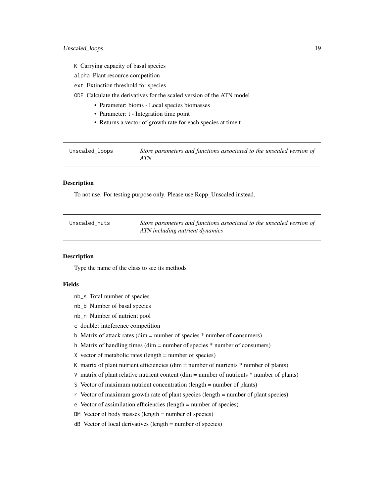- <span id="page-18-0"></span>K Carrying capacity of basal species
- alpha Plant resource competition
- ext Extinction threshold for species
- ODE Calculate the derivatives for the scaled version of the ATN model
	- Parameter: bioms Local species biomasses
	- Parameter: t Integration time point
	- Returns a vector of growth rate for each species at time t

| Unscaled_loops | Store parameters and functions associated to the unscaled version of |
|----------------|----------------------------------------------------------------------|
|                | ATN                                                                  |

To not use. For testing purpose only. Please use Rcpp\_Unscaled instead.

| Unscaled nuts | Store parameters and functions associated to the unscaled version of |
|---------------|----------------------------------------------------------------------|
|               | ATN including nutrient dynamics                                      |

#### Description

Type the name of the class to see its methods

#### Fields

- nb\_s Total number of species
- nb\_b Number of basal species
- nb\_n Number of nutrient pool
- c double: inteference competition
- b Matrix of attack rates (dim = number of species \* number of consumers)
- h Matrix of handling times (dim = number of species \* number of consumers)
- $X$  vector of metabolic rates (length = number of species)
- K matrix of plant nutrient efficiencies (dim = number of nutrients  $*$  number of plants)
- V matrix of plant relative nutrient content (dim  $=$  number of nutrients  $*$  number of plants)
- S Vector of maximum nutrient concentration (length = number of plants)
- r Vector of maximum growth rate of plant species (length = number of plant species)
- e Vector of assimilation efficiencies (length = number of species)
- BM Vector of body masses (length = number of species)
- dB Vector of local derivatives (length = number of species)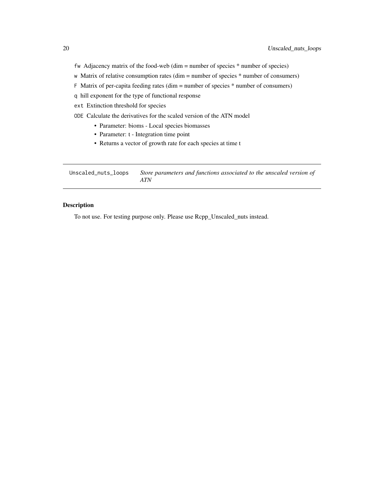- <span id="page-19-0"></span>fw Adjacency matrix of the food-web (dim = number of species \* number of species)
- w Matrix of relative consumption rates (dim = number of species \* number of consumers)
- F Matrix of per-capita feeding rates (dim = number of species \* number of consumers)
- q hill exponent for the type of functional response
- ext Extinction threshold for species
- ODE Calculate the derivatives for the scaled version of the ATN model
	- Parameter: bioms Local species biomasses
	- Parameter: t Integration time point
	- Returns a vector of growth rate for each species at time t

| Unscaled_nuts_loops | Store parameters and functions associated to the unscaled version of |
|---------------------|----------------------------------------------------------------------|
|                     | ATN                                                                  |

To not use. For testing purpose only. Please use Rcpp\_Unscaled\_nuts instead.